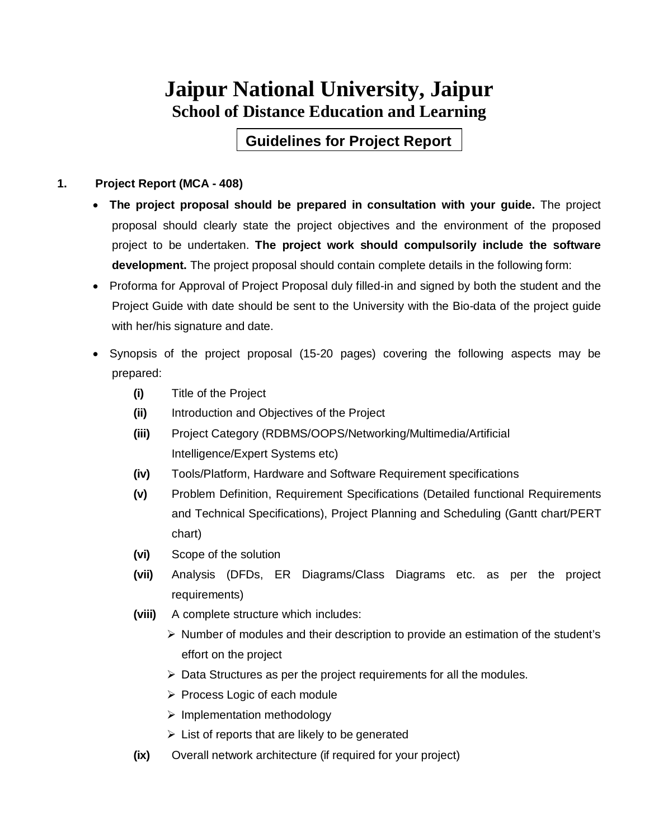## **Jaipur National University, Jaipur School of Distance Education and Learning**

**Guidelines for Project Report**

#### **1. Project Report (MCA - 408)**

- **The project proposal should be prepared in consultation with your guide.** The project proposal should clearly state the project objectives and the environment of the proposed project to be undertaken. **The project work should compulsorily include the software development.** The project proposal should contain complete details in the following form:
- Proforma for Approval of Project Proposal duly filled-in and signed by both the student and the Project Guide with date should be sent to the University with the Bio-data of the project guide with her/his signature and date.
- Synopsis of the project proposal (15-20 pages) covering the following aspects may be prepared:
	- **(i)** Title of the Project
	- **(ii)** Introduction and Objectives of the Project
	- **(iii)** Project Category (RDBMS/OOPS/Networking/Multimedia/Artificial Intelligence/Expert Systems etc)
	- **(iv)** Tools/Platform, Hardware and Software Requirement specifications
	- **(v)** Problem Definition, Requirement Specifications (Detailed functional Requirements and Technical Specifications), Project Planning and Scheduling (Gantt chart/PERT chart)
	- **(vi)** Scope of the solution
	- **(vii)** Analysis (DFDs, ER Diagrams/Class Diagrams etc. as per the project requirements)
	- **(viii)** A complete structure which includes:
		- $\triangleright$  Number of modules and their description to provide an estimation of the student's effort on the project
		- $\triangleright$  Data Structures as per the project requirements for all the modules.
		- $\triangleright$  Process Logic of each module
		- $\triangleright$  Implementation methodology
		- $\triangleright$  List of reports that are likely to be generated
	- **(ix)** Overall network architecture (if required for your project)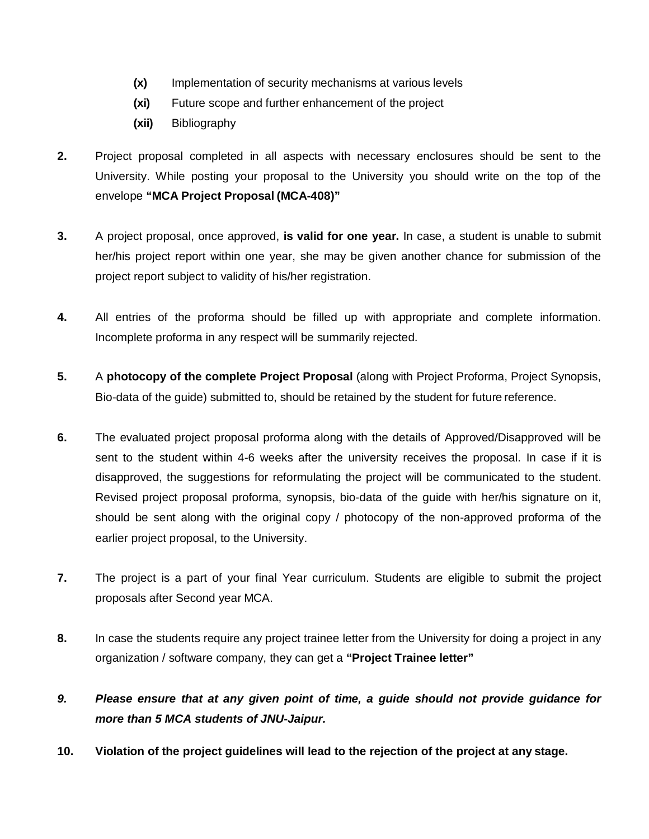- **(x)** Implementation of security mechanisms at various levels
- **(xi)** Future scope and further enhancement of the project
- **(xii)** Bibliography
- **2.** Project proposal completed in all aspects with necessary enclosures should be sent to the University. While posting your proposal to the University you should write on the top of the envelope **"MCA Project Proposal (MCA-408)"**
- **3.** A project proposal, once approved, **is valid for one year.** In case, a student is unable to submit her/his project report within one year, she may be given another chance for submission of the project report subject to validity of his/her registration.
- **4.** All entries of the proforma should be filled up with appropriate and complete information. Incomplete proforma in any respect will be summarily rejected.
- **5.** A **photocopy of the complete Project Proposal** (along with Project Proforma, Project Synopsis, Bio-data of the guide) submitted to, should be retained by the student for future reference.
- **6.** The evaluated project proposal proforma along with the details of Approved/Disapproved will be sent to the student within 4-6 weeks after the university receives the proposal. In case if it is disapproved, the suggestions for reformulating the project will be communicated to the student. Revised project proposal proforma, synopsis, bio-data of the guide with her/his signature on it, should be sent along with the original copy / photocopy of the non-approved proforma of the earlier project proposal, to the University.
- **7.** The project is a part of your final Year curriculum. Students are eligible to submit the project proposals after Second year MCA.
- **8.** In case the students require any project trainee letter from the University for doing a project in any organization / software company, they can get a **"Project Trainee letter"**
- *9. Please ensure that at any given point of time, a guide should not provide guidance for more than 5 MCA students of JNU-Jaipur.*
- **10. Violation of the project guidelines will lead to the rejection of the project at any stage.**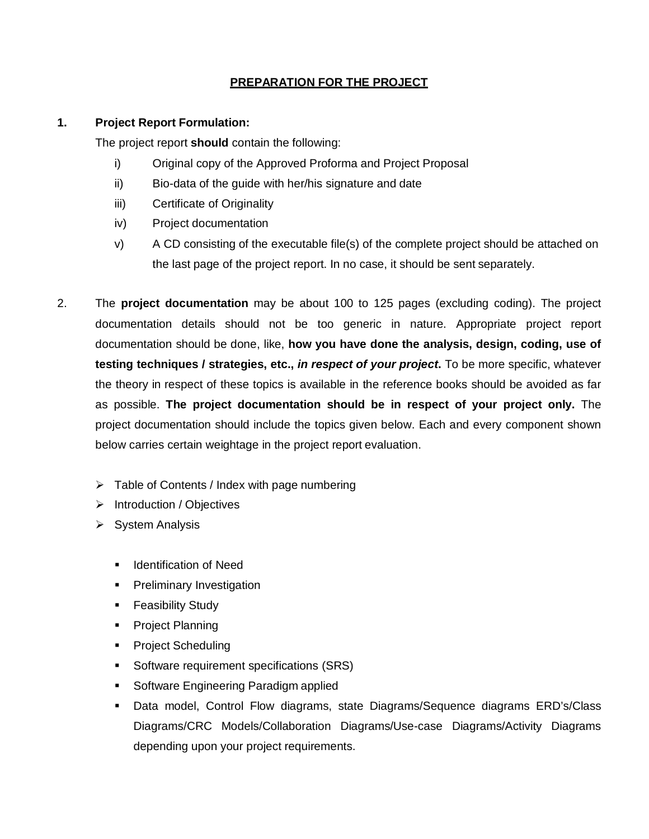#### **PREPARATION FOR THE PROJECT**

#### **1. Project Report Formulation:**

The project report **should** contain the following:

- i) Original copy of the Approved Proforma and Project Proposal
- ii) Bio-data of the guide with her/his signature and date
- iii) Certificate of Originality
- iv) Project documentation
- v) A CD consisting of the executable file(s) of the complete project should be attached on the last page of the project report. In no case, it should be sent separately.
- 2. The **project documentation** may be about 100 to 125 pages (excluding coding). The project documentation details should not be too generic in nature. Appropriate project report documentation should be done, like, **how you have done the analysis, design, coding, use of testing techniques / strategies, etc.,** *in respect of your project***.** To be more specific, whatever the theory in respect of these topics is available in the reference books should be avoided as far as possible. **The project documentation should be in respect of your project only.** The project documentation should include the topics given below. Each and every component shown below carries certain weightage in the project report evaluation.
	- $\triangleright$  Table of Contents / Index with page numbering
	- $\triangleright$  Introduction / Objectives
	- $\triangleright$  System Analysis
		- **Indentification of Need**
		- **Preliminary Investigation**
		- **Feasibility Study**
		- **Project Planning**
		- **Project Scheduling**
		- **Software requirement specifications (SRS)**
		- **Software Engineering Paradigm applied**
		- Data model, Control Flow diagrams, state Diagrams/Sequence diagrams ERD's/Class Diagrams/CRC Models/Collaboration Diagrams/Use-case Diagrams/Activity Diagrams depending upon your project requirements.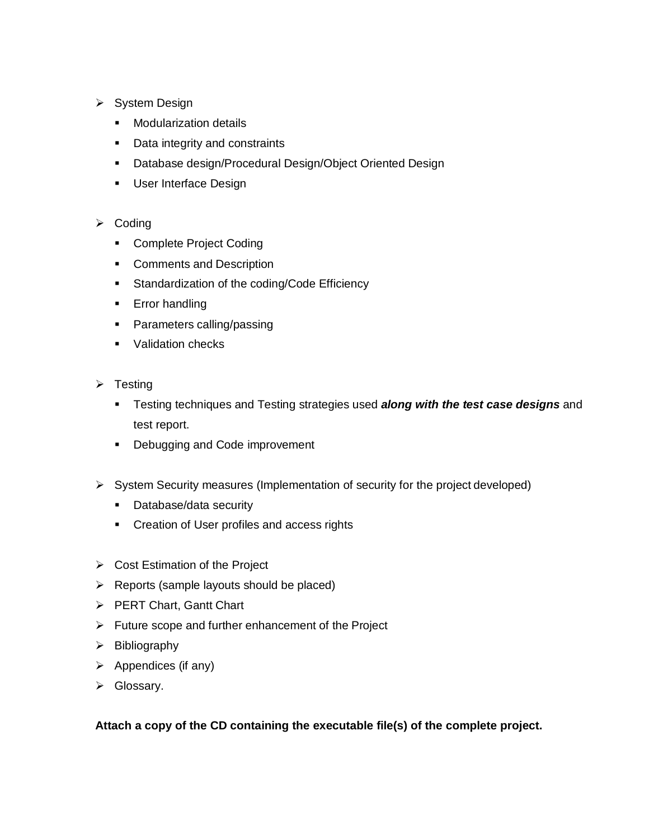- ▶ System Design
	- **Nodularization details**
	- **•** Data integrity and constraints
	- Database design/Procedural Design/Object Oriented Design
	- **User Interface Design**

#### $\triangleright$  Coding

- **Complete Project Coding**
- **•** Comments and Description
- **Standardization of the coding/Code Efficiency**
- **Error handling**
- **Parameters calling/passing**
- **Validation checks**
- $\triangleright$  Testing
	- Testing techniques and Testing strategies used *along with the test case designs* and test report.
	- **Debugging and Code improvement**
- $\triangleright$  System Security measures (Implementation of security for the project developed)
	- Database/data security
	- **•** Creation of User profiles and access rights
- $\triangleright$  Cost Estimation of the Project
- $\triangleright$  Reports (sample layouts should be placed)
- PERT Chart, Gantt Chart
- $\triangleright$  Future scope and further enhancement of the Project
- $\triangleright$  Bibliography
- $\triangleright$  Appendices (if any)
- ▶ Glossary.

**Attach a copy of the CD containing the executable file(s) of the complete project.**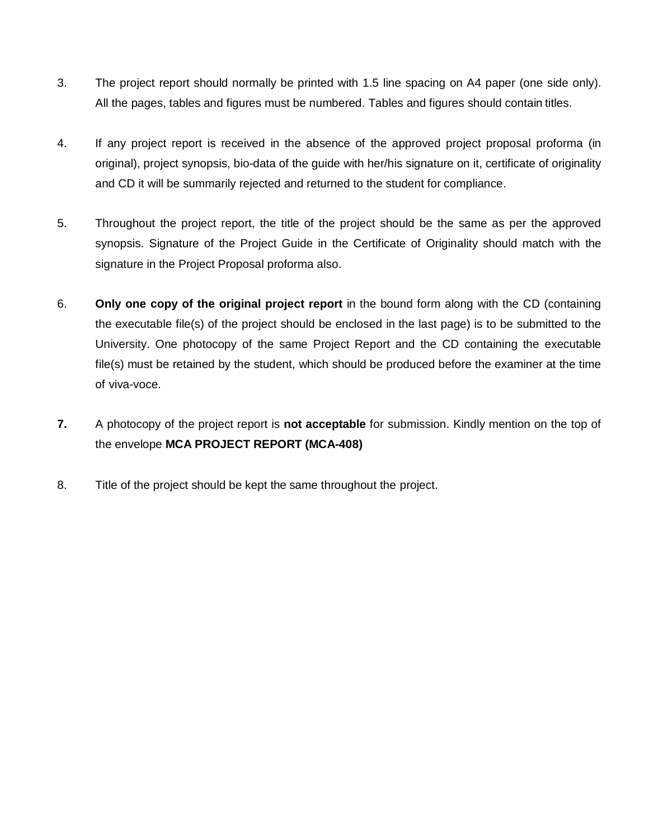- 3. The project report should normally be printed with 1.5 line spacing on A4 paper (one side only). All the pages, tables and figures must be numbered. Tables and figures should contain titles.
- 4. If any project report is received in the absence of the approved project proposal proforma (in original), project synopsis, bio-data of the guide with her/his signature on it, certificate of originality and CD it will be summarily rejected and returned to the student for compliance.
- 5. Throughout the project report, the title of the project should be the same as per the approved synopsis. Signature of the Project Guide in the Certificate of Originality should match with the signature in the Project Proposal proforma also.
- 6. **Only one copy of the original project report** in the bound form along with the CD (containing the executable file(s) of the project should be enclosed in the last page) is to be submitted to the University. One photocopy of the same Project Report and the CD containing the executable file(s) must be retained by the student, which should be produced before the examiner at the time of viva-voce.
- **7.** A photocopy of the project report is **not acceptable** for submission. Kindly mention on the top of the envelope **MCA PROJECT REPORT (MCA-408)**
- 8. Title of the project should be kept the same throughout the project.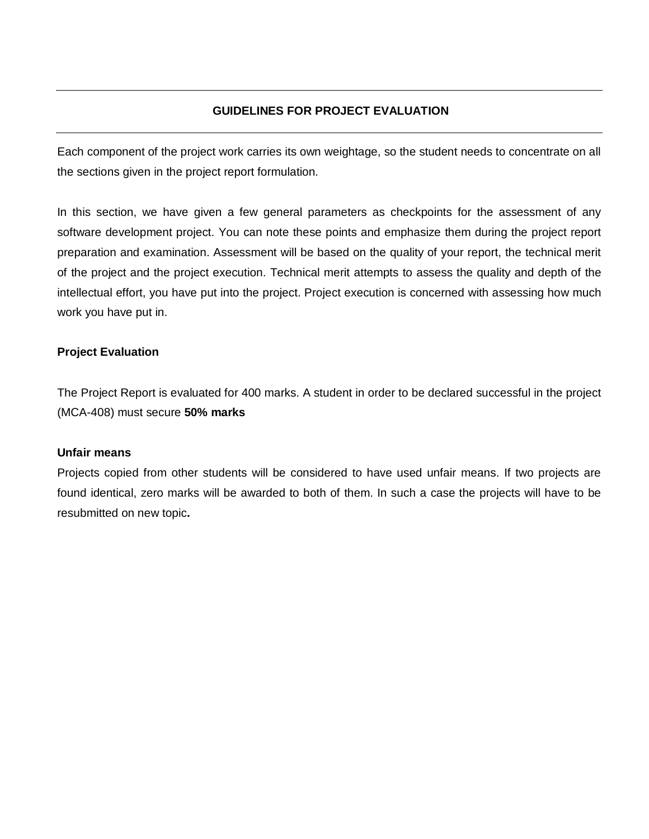#### **GUIDELINES FOR PROJECT EVALUATION**

Each component of the project work carries its own weightage, so the student needs to concentrate on all the sections given in the project report formulation.

In this section, we have given a few general parameters as checkpoints for the assessment of any software development project. You can note these points and emphasize them during the project report preparation and examination. Assessment will be based on the quality of your report, the technical merit of the project and the project execution. Technical merit attempts to assess the quality and depth of the intellectual effort, you have put into the project. Project execution is concerned with assessing how much work you have put in.

#### **Project Evaluation**

The Project Report is evaluated for 400 marks. A student in order to be declared successful in the project (MCA-408) must secure **50% marks**

#### **Unfair means**

Projects copied from other students will be considered to have used unfair means. If two projects are found identical, zero marks will be awarded to both of them. In such a case the projects will have to be resubmitted on new topic**.**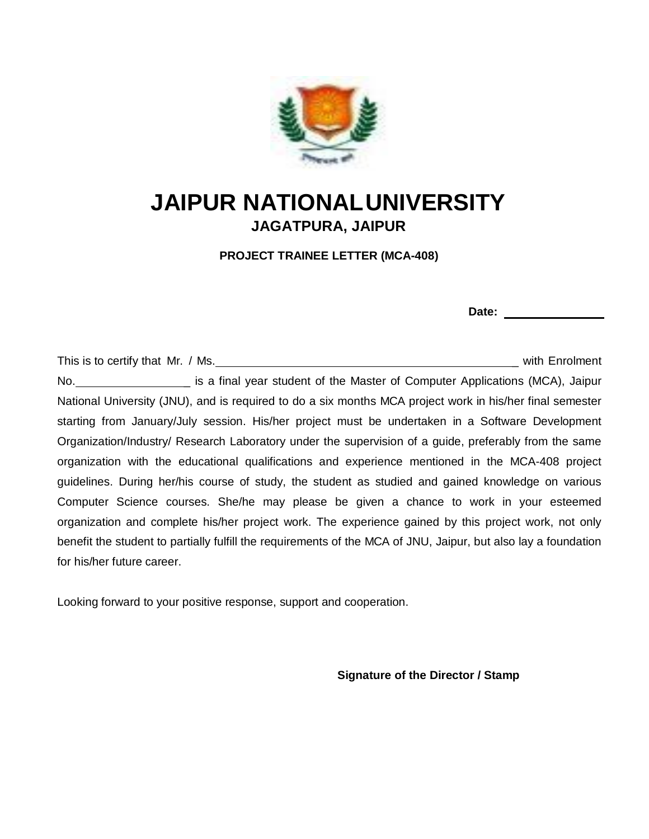

## **JAIPUR NATIONALUNIVERSITY JAGATPURA, JAIPUR**

**PROJECT TRAINEE LETTER (MCA-408)**

This is to certify that Mr. / Ms. \_ with Enrolment No. **No.** is a final year student of the Master of Computer Applications (MCA), Jaipur National University (JNU), and is required to do a six months MCA project work in his/her final semester starting from January/July session. His/her project must be undertaken in a Software Development Organization/Industry/ Research Laboratory under the supervision of a guide, preferably from the same organization with the educational qualifications and experience mentioned in the MCA-408 project guidelines. During her/his course of study, the student as studied and gained knowledge on various Computer Science courses. She/he may please be given a chance to work in your esteemed organization and complete his/her project work. The experience gained by this project work, not only benefit the student to partially fulfill the requirements of the MCA of JNU, Jaipur, but also lay a foundation for his/her future career.

Looking forward to your positive response, support and cooperation.

**Signature of the Director / Stamp**

**Date:**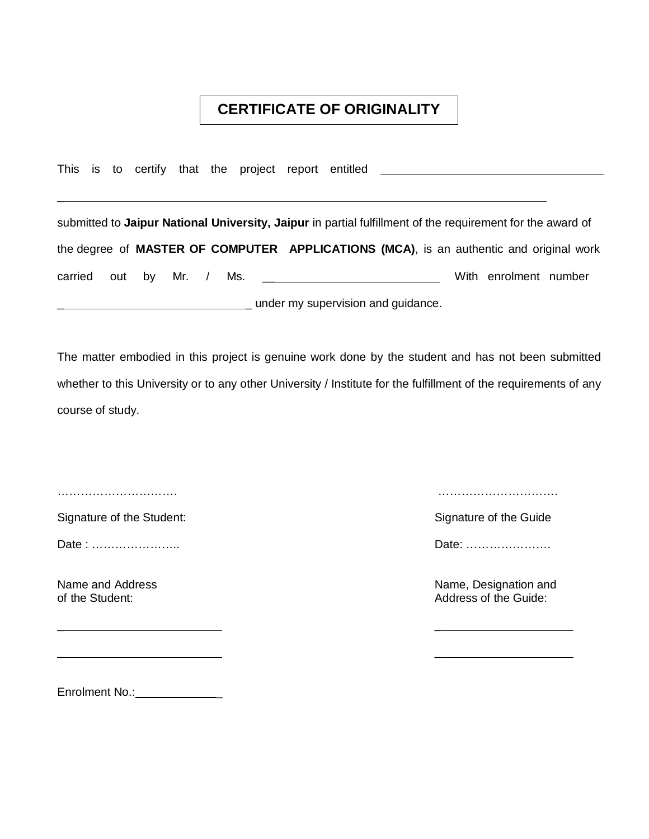### **CERTIFICATE OF ORIGINALITY**

This is to certify that the project report entitled \_\_\_\_\_\_\_\_\_\_\_\_\_\_\_\_\_\_\_\_\_\_\_\_\_\_\_\_

\_ \_

\_ \_

submitted to **Jaipur National University, Jaipur** in partial fulfillment of the requirement for the award of the degree of **MASTER OF COMPUTER APPLICATIONS (MCA)**, is an authentic and original work carried out by Mr. / Ms. \_\_ With enrolment number under my supervision and guidance.

The matter embodied in this project is genuine work done by the student and has not been submitted whether to this University or to any other University / Institute for the fulfillment of the requirements of any course of study.

 $\overline{a}$ 

Signature of the Student: Signature of the Guide Signature of the Guide Signature of the Guide

Date : ………………….. Date: ………………….

…………………………. ………………………….

Name and Address Name and Address and Address natural control of the Student: Name, Designation and of the Student: Address of the Guide:

Enrolment No.: \_\_\_\_\_\_\_\_\_\_\_\_\_\_